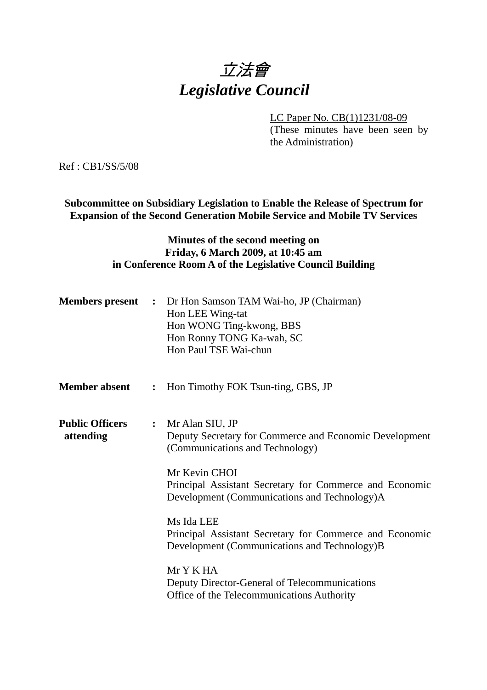# 立法會 *Legislative Council*

LC Paper No. CB(1)1231/08-09 (These minutes have been seen by

the Administration)

Ref : CB1/SS/5/08

**Subcommittee on Subsidiary Legislation to Enable the Release of Spectrum for Expansion of the Second Generation Mobile Service and Mobile TV Services** 

### **Minutes of the second meeting on Friday, 6 March 2009, at 10:45 am in Conference Room A of the Legislative Council Building**

|                                     |                | <b>Members present :</b> Dr Hon Samson TAM Wai-ho, JP (Chairman)<br>Hon LEE Wing-tat<br>Hon WONG Ting-kwong, BBS<br>Hon Ronny TONG Ka-wah, SC<br>Hon Paul TSE Wai-chun |
|-------------------------------------|----------------|------------------------------------------------------------------------------------------------------------------------------------------------------------------------|
| <b>Member absent</b>                | $\ddot{\cdot}$ | Hon Timothy FOK Tsun-ting, GBS, JP                                                                                                                                     |
| <b>Public Officers</b><br>attending |                | : Mr Alan SIU, JP<br>Deputy Secretary for Commerce and Economic Development<br>(Communications and Technology)                                                         |
|                                     |                | Mr Kevin CHOI<br>Principal Assistant Secretary for Commerce and Economic<br>Development (Communications and Technology)A                                               |
|                                     |                | Ms Ida LEE<br>Principal Assistant Secretary for Commerce and Economic<br>Development (Communications and Technology)B                                                  |
|                                     |                | Mr Y K HA<br>Deputy Director-General of Telecommunications<br>Office of the Telecommunications Authority                                                               |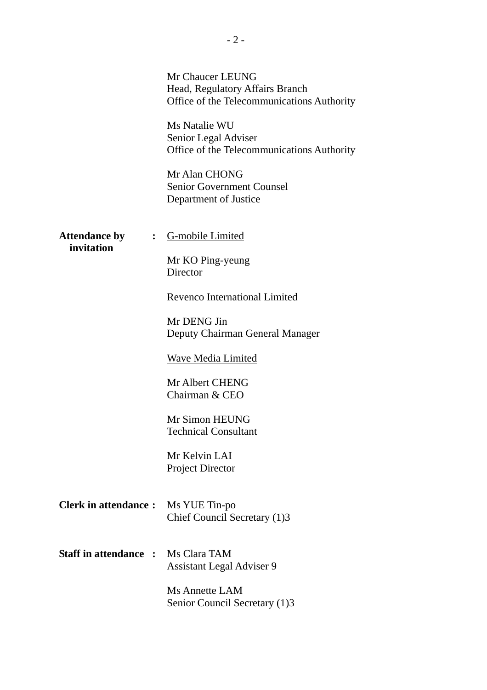|                                                        | Mr Chaucer LEUNG<br>Head, Regulatory Affairs Branch<br>Office of the Telecommunications Authority<br>Ms Natalie WU<br>Senior Legal Adviser<br>Office of the Telecommunications Authority<br>Mr Alan CHONG<br><b>Senior Government Counsel</b> |
|--------------------------------------------------------|-----------------------------------------------------------------------------------------------------------------------------------------------------------------------------------------------------------------------------------------------|
| <b>Attendance by</b><br>$\ddot{\bullet}$<br>invitation | Department of Justice<br>G-mobile Limited<br>Mr KO Ping-yeung<br>Director<br>Revenco International Limited<br>Mr DENG Jin                                                                                                                     |
|                                                        | Deputy Chairman General Manager<br><b>Wave Media Limited</b><br>Mr Albert CHENG<br>Chairman & CEO<br>Mr Simon HEUNG                                                                                                                           |
|                                                        | <b>Technical Consultant</b><br>Mr Kelvin LAI<br><b>Project Director</b>                                                                                                                                                                       |
| <b>Clerk in attendance:</b>                            | Ms YUE Tin-po<br>Chief Council Secretary (1)3                                                                                                                                                                                                 |
| <b>Staff in attendance :</b>                           | Ms Clara TAM<br><b>Assistant Legal Adviser 9</b>                                                                                                                                                                                              |
|                                                        | <b>Ms Annette LAM</b><br>Senior Council Secretary (1)3                                                                                                                                                                                        |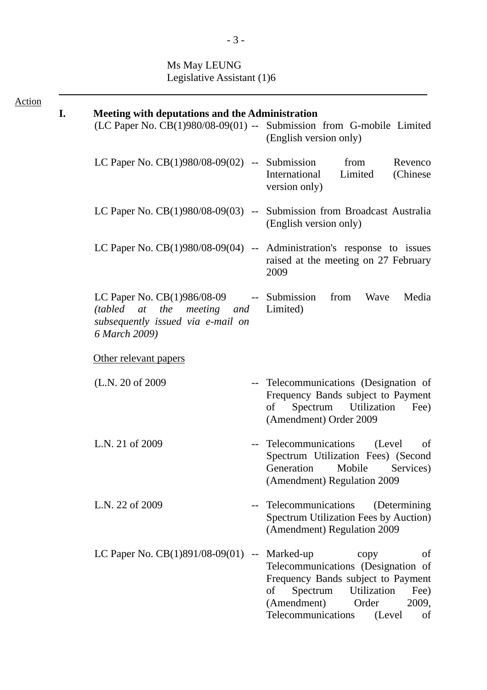### Ms May LEUNG Legislative Assistant (1)6

| <b>Action</b> |    |                                                                                                                                 |                                                                                                                                                                                                                     |
|---------------|----|---------------------------------------------------------------------------------------------------------------------------------|---------------------------------------------------------------------------------------------------------------------------------------------------------------------------------------------------------------------|
|               | I. | <b>Meeting with deputations and the Administration</b>                                                                          | (LC Paper No. CB(1)980/08-09(01) -- Submission from G-mobile Limited<br>(English version only)                                                                                                                      |
|               |    | LC Paper No. $CB(1)980/08-09(02)$ -- Submission                                                                                 | Revenco<br>from<br>Limited<br>International<br>(Chinese)<br>version only)                                                                                                                                           |
|               |    |                                                                                                                                 | LC Paper No. $CB(1)980/08-09(03)$ -- Submission from Broadcast Australia<br>(English version only)                                                                                                                  |
|               |    |                                                                                                                                 | LC Paper No. $CB(1)980/08-09(04)$ -- Administration's response to issues<br>raised at the meeting on 27 February<br>2009                                                                                            |
|               |    | LC Paper No. $CB(1)986/08-09$ -- Submission<br>(tabled at the meeting and<br>subsequently issued via e-mail on<br>6 March 2009) | from<br>Wave<br>Media<br>Limited)                                                                                                                                                                                   |
|               |    | Other relevant papers                                                                                                           |                                                                                                                                                                                                                     |
|               |    | (L.N. 20 of 2009)                                                                                                               | -- Telecommunications (Designation of<br>Frequency Bands subject to Payment<br>Spectrum Utilization<br>Fee)<br>of<br>(Amendment) Order 2009                                                                         |
|               |    | L.N. 21 of 2009                                                                                                                 | Telecommunications<br>(Level)<br>of<br>Spectrum Utilization Fees) (Second<br>Generation<br>Mobile<br>Services)<br>(Amendment) Regulation 2009                                                                       |
|               |    | L.N. 22 of 2009                                                                                                                 | Telecommunications<br>(Determining)<br>Spectrum Utilization Fees by Auction)<br>(Amendment) Regulation 2009                                                                                                         |
|               |    | LC Paper No. CB(1)891/08-09(01) --                                                                                              | Marked-up<br>of<br>copy<br>Telecommunications (Designation of<br>Frequency Bands subject to Payment<br>Spectrum<br>Utilization<br>Fee)<br>of<br>(Amendment)<br>Order<br>2009,<br>Telecommunications<br>(Level<br>of |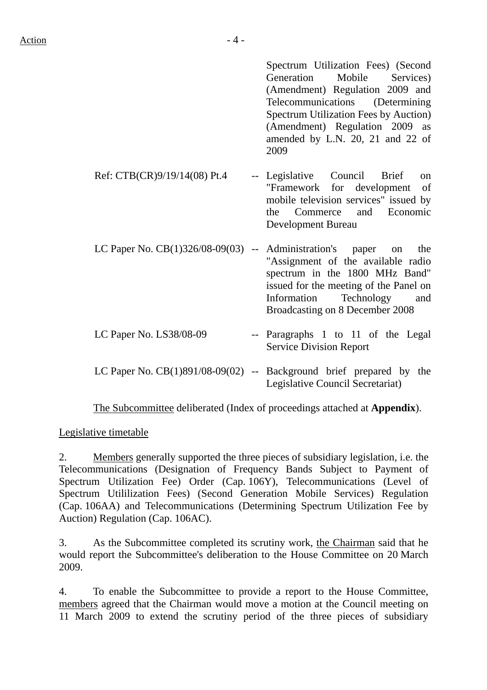Spectrum Utilization Fees) (Second Generation Mobile Services) (Amendment) Regulation 2009 and Telecommunications (Determining Spectrum Utilization Fees by Auction) (Amendment) Regulation 2009 as amended by L.N. 20, 21 and 22 of 2009

- Ref: CTB(CR)9/19/14(08) Pt.4 -- Legislative Council Brief on "Framework for development of mobile television services" issued by the Commerce and Economic Development Bureau
- LC Paper No. CB(1)326/08-09(03) -- Administration's paper on the "Assignment of the available radio spectrum in the 1800 MHz Band" issued for the meeting of the Panel on Information Technology and Broadcasting on 8 December 2008
- LC Paper No. LS38/08-09 -- Paragraphs 1 to 11 of the Legal Service Division Report
- LC Paper No.  $CB(1)891/08-09(02)$  -- Background brief prepared by the Legislative Council Secretariat)

1. The Subcommittee deliberated (Index of proceedings attached at **Appendix**).

Legislative timetable

2. Members generally supported the three pieces of subsidiary legislation, i.e. the Telecommunications (Designation of Frequency Bands Subject to Payment of Spectrum Utilization Fee) Order (Cap. 106Y), Telecommunications (Level of Spectrum Utililization Fees) (Second Generation Mobile Services) Regulation (Cap. 106AA) and Telecommunications (Determining Spectrum Utilization Fee by Auction) Regulation (Cap. 106AC).

3. As the Subcommittee completed its scrutiny work, the Chairman said that he would report the Subcommittee's deliberation to the House Committee on 20 March 2009.

4. To enable the Subcommittee to provide a report to the House Committee, members agreed that the Chairman would move a motion at the Council meeting on 11 March 2009 to extend the scrutiny period of the three pieces of subsidiary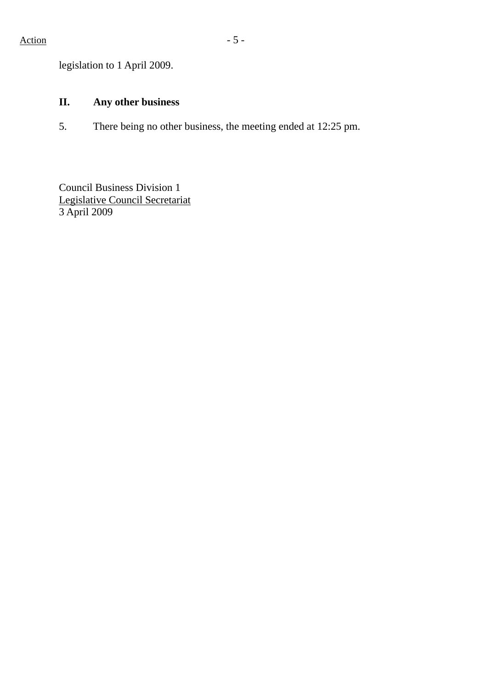legislation to 1 April 2009.

## **II. Any other business**

5. There being no other business, the meeting ended at 12:25 pm.

Council Business Division 1 Legislative Council Secretariat 3 April 2009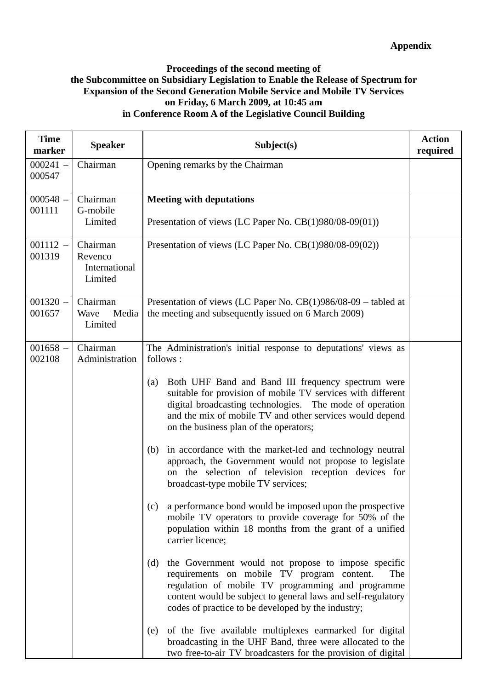### **Proceedings of the second meeting of the Subcommittee on Subsidiary Legislation to Enable the Release of Spectrum for Expansion of the Second Generation Mobile Service and Mobile TV Services on Friday, 6 March 2009, at 10:45 am in Conference Room A of the Legislative Council Building**

| <b>Time</b><br>marker | <b>Speaker</b>                                  | Subject(s)                                                                                                                                                                                                                                                                                                                                                                                                                                                                                                                                                                                                                                                                                                                                                                                                                                                                                                                                                                                                                                                                                                     | <b>Action</b><br>required |
|-----------------------|-------------------------------------------------|----------------------------------------------------------------------------------------------------------------------------------------------------------------------------------------------------------------------------------------------------------------------------------------------------------------------------------------------------------------------------------------------------------------------------------------------------------------------------------------------------------------------------------------------------------------------------------------------------------------------------------------------------------------------------------------------------------------------------------------------------------------------------------------------------------------------------------------------------------------------------------------------------------------------------------------------------------------------------------------------------------------------------------------------------------------------------------------------------------------|---------------------------|
| $000241 -$<br>000547  | Chairman                                        | Opening remarks by the Chairman                                                                                                                                                                                                                                                                                                                                                                                                                                                                                                                                                                                                                                                                                                                                                                                                                                                                                                                                                                                                                                                                                |                           |
| $000548 -$<br>001111  | Chairman<br>G-mobile<br>Limited                 | <b>Meeting with deputations</b><br>Presentation of views (LC Paper No. $CB(1)980/08-09(01)$ )                                                                                                                                                                                                                                                                                                                                                                                                                                                                                                                                                                                                                                                                                                                                                                                                                                                                                                                                                                                                                  |                           |
| $001112 -$<br>001319  | Chairman<br>Revenco<br>International<br>Limited | Presentation of views (LC Paper No. CB(1)980/08-09(02))                                                                                                                                                                                                                                                                                                                                                                                                                                                                                                                                                                                                                                                                                                                                                                                                                                                                                                                                                                                                                                                        |                           |
| $001320 -$<br>001657  | Chairman<br>Wave<br>Media<br>Limited            | Presentation of views (LC Paper No. CB(1)986/08-09 – tabled at<br>the meeting and subsequently issued on 6 March 2009)                                                                                                                                                                                                                                                                                                                                                                                                                                                                                                                                                                                                                                                                                                                                                                                                                                                                                                                                                                                         |                           |
| $001658 -$<br>002108  | Chairman<br>Administration                      | The Administration's initial response to deputations' views as<br>follows:<br>Both UHF Band and Band III frequency spectrum were<br>(a)<br>suitable for provision of mobile TV services with different<br>digital broadcasting technologies. The mode of operation<br>and the mix of mobile TV and other services would depend<br>on the business plan of the operators;<br>in accordance with the market-led and technology neutral<br>(b)<br>approach, the Government would not propose to legislate<br>on the selection of television reception devices for<br>broadcast-type mobile TV services;<br>a performance bond would be imposed upon the prospective<br>(c)<br>mobile TV operators to provide coverage for 50% of the<br>population within 18 months from the grant of a unified<br>carrier licence;<br>the Government would not propose to impose specific<br>(d)<br>requirements on mobile TV program content.<br>The<br>regulation of mobile TV programming and programme<br>content would be subject to general laws and self-regulatory<br>codes of practice to be developed by the industry; |                           |
|                       |                                                 | of the five available multiplexes earmarked for digital<br>(e)<br>broadcasting in the UHF Band, three were allocated to the<br>two free-to-air TV broadcasters for the provision of digital                                                                                                                                                                                                                                                                                                                                                                                                                                                                                                                                                                                                                                                                                                                                                                                                                                                                                                                    |                           |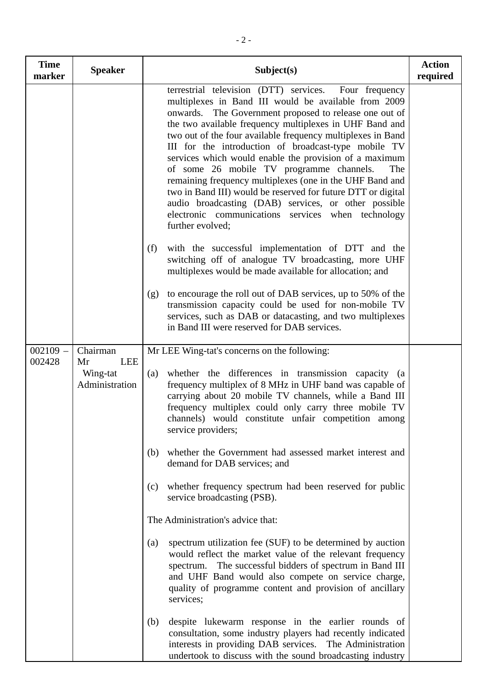| <b>Time</b><br>marker | <b>Speaker</b>               | Subject(s)                                                                                                                                                                                                                                                                                                              | <b>Action</b><br>required                                                                                                                                                                                                                                                                                                                                                                                                                                                                                                                                                                                                                                                                                                               |  |
|-----------------------|------------------------------|-------------------------------------------------------------------------------------------------------------------------------------------------------------------------------------------------------------------------------------------------------------------------------------------------------------------------|-----------------------------------------------------------------------------------------------------------------------------------------------------------------------------------------------------------------------------------------------------------------------------------------------------------------------------------------------------------------------------------------------------------------------------------------------------------------------------------------------------------------------------------------------------------------------------------------------------------------------------------------------------------------------------------------------------------------------------------------|--|
|                       |                              |                                                                                                                                                                                                                                                                                                                         | terrestrial television (DTT) services.<br>Four frequency<br>multiplexes in Band III would be available from 2009<br>onwards. The Government proposed to release one out of<br>the two available frequency multiplexes in UHF Band and<br>two out of the four available frequency multiplexes in Band<br>III for the introduction of broadcast-type mobile TV<br>services which would enable the provision of a maximum<br>of some 26 mobile TV programme channels.<br>The<br>remaining frequency multiplexes (one in the UHF Band and<br>two in Band III) would be reserved for future DTT or digital<br>audio broadcasting (DAB) services, or other possible<br>electronic communications services when technology<br>further evolved; |  |
|                       |                              | with the successful implementation of DTT and the<br>(f)<br>switching off of analogue TV broadcasting, more UHF<br>multiplexes would be made available for allocation; and                                                                                                                                              |                                                                                                                                                                                                                                                                                                                                                                                                                                                                                                                                                                                                                                                                                                                                         |  |
|                       |                              | to encourage the roll out of DAB services, up to 50% of the<br>(g)<br>transmission capacity could be used for non-mobile TV<br>services, such as DAB or datacasting, and two multiplexes<br>in Band III were reserved for DAB services.                                                                                 |                                                                                                                                                                                                                                                                                                                                                                                                                                                                                                                                                                                                                                                                                                                                         |  |
| $002109 -$            | Chairman<br><b>LEE</b><br>Mr | Mr LEE Wing-tat's concerns on the following:                                                                                                                                                                                                                                                                            |                                                                                                                                                                                                                                                                                                                                                                                                                                                                                                                                                                                                                                                                                                                                         |  |
| 002428                | Wing-tat<br>Administration   | whether the differences in transmission capacity (a<br>(a)<br>frequency multiplex of 8 MHz in UHF band was capable of<br>carrying about 20 mobile TV channels, while a Band III<br>frequency multiplex could only carry three mobile TV<br>channels) would constitute unfair competition among<br>service providers;    |                                                                                                                                                                                                                                                                                                                                                                                                                                                                                                                                                                                                                                                                                                                                         |  |
|                       |                              | whether the Government had assessed market interest and<br>(b)<br>demand for DAB services; and                                                                                                                                                                                                                          |                                                                                                                                                                                                                                                                                                                                                                                                                                                                                                                                                                                                                                                                                                                                         |  |
|                       |                              | whether frequency spectrum had been reserved for public<br>(c)<br>service broadcasting (PSB).                                                                                                                                                                                                                           |                                                                                                                                                                                                                                                                                                                                                                                                                                                                                                                                                                                                                                                                                                                                         |  |
|                       |                              | The Administration's advice that:                                                                                                                                                                                                                                                                                       |                                                                                                                                                                                                                                                                                                                                                                                                                                                                                                                                                                                                                                                                                                                                         |  |
|                       |                              | spectrum utilization fee (SUF) to be determined by auction<br>(a)<br>would reflect the market value of the relevant frequency<br>spectrum. The successful bidders of spectrum in Band III<br>and UHF Band would also compete on service charge,<br>quality of programme content and provision of ancillary<br>services; |                                                                                                                                                                                                                                                                                                                                                                                                                                                                                                                                                                                                                                                                                                                                         |  |
|                       |                              | despite lukewarm response in the earlier rounds of<br>(b)<br>consultation, some industry players had recently indicated<br>interests in providing DAB services. The Administration<br>undertook to discuss with the sound broadcasting industry                                                                         |                                                                                                                                                                                                                                                                                                                                                                                                                                                                                                                                                                                                                                                                                                                                         |  |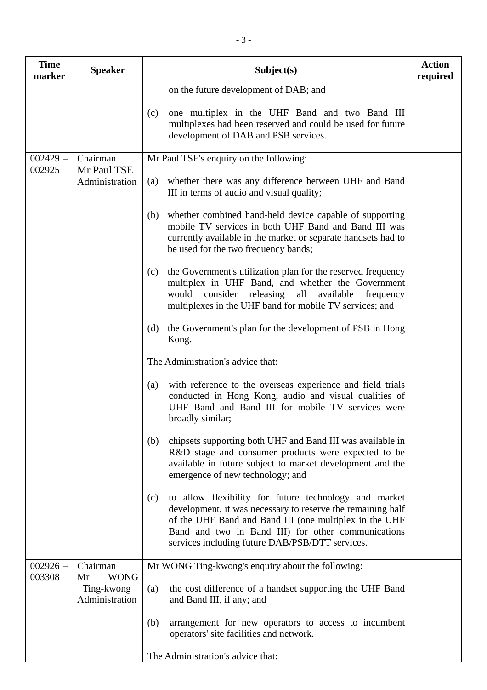| <b>Time</b><br>marker | <b>Speaker</b>                                    | Subject(s)                                                                                                                                                                                                                                                                                     | <b>Action</b><br>required |
|-----------------------|---------------------------------------------------|------------------------------------------------------------------------------------------------------------------------------------------------------------------------------------------------------------------------------------------------------------------------------------------------|---------------------------|
|                       |                                                   | on the future development of DAB; and                                                                                                                                                                                                                                                          |                           |
|                       |                                                   | one multiplex in the UHF Band and two Band III<br>(c)<br>multiplexes had been reserved and could be used for future<br>development of DAB and PSB services.                                                                                                                                    |                           |
| $002429 -$            | Chairman                                          | Mr Paul TSE's enquiry on the following:                                                                                                                                                                                                                                                        |                           |
| 002925                | Mr Paul TSE<br>Administration                     | whether there was any difference between UHF and Band<br>(a)<br>III in terms of audio and visual quality;                                                                                                                                                                                      |                           |
|                       |                                                   | whether combined hand-held device capable of supporting<br>(b)<br>mobile TV services in both UHF Band and Band III was<br>currently available in the market or separate handsets had to<br>be used for the two frequency bands;                                                                |                           |
|                       |                                                   | the Government's utilization plan for the reserved frequency<br>(c)<br>multiplex in UHF Band, and whether the Government<br>would consider releasing all available<br>frequency<br>multiplexes in the UHF band for mobile TV services; and                                                     |                           |
|                       |                                                   | the Government's plan for the development of PSB in Hong<br>(d)<br>Kong.                                                                                                                                                                                                                       |                           |
|                       |                                                   | The Administration's advice that:                                                                                                                                                                                                                                                              |                           |
|                       |                                                   | with reference to the overseas experience and field trials<br>(a)<br>conducted in Hong Kong, audio and visual qualities of<br>UHF Band and Band III for mobile TV services were<br>broadly similar;                                                                                            |                           |
|                       |                                                   | chipsets supporting both UHF and Band III was available in<br>(b)<br>R&D stage and consumer products were expected to be<br>available in future subject to market development and the<br>emergence of new technology; and                                                                      |                           |
|                       |                                                   | to allow flexibility for future technology and market<br>(c)<br>development, it was necessary to reserve the remaining half<br>of the UHF Band and Band III (one multiplex in the UHF<br>Band and two in Band III) for other communications<br>services including future DAB/PSB/DTT services. |                           |
| $002926 -$            | Chairman                                          | Mr WONG Ting-kwong's enquiry about the following:                                                                                                                                                                                                                                              |                           |
| 003308                | <b>WONG</b><br>Mr<br>Ting-kwong<br>Administration | the cost difference of a handset supporting the UHF Band<br>(a)<br>and Band III, if any; and                                                                                                                                                                                                   |                           |
|                       |                                                   | (b)<br>arrangement for new operators to access to incumbent<br>operators' site facilities and network.                                                                                                                                                                                         |                           |
|                       |                                                   | The Administration's advice that:                                                                                                                                                                                                                                                              |                           |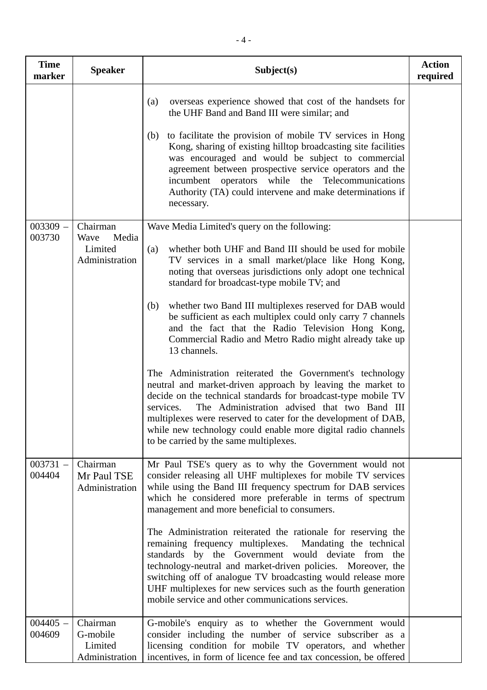| <b>Time</b><br>marker | <b>Speaker</b>                                         | Subject(s)                                                                                                                                                                                                                                                                                                                                                                                                                                                                                                                                                                                                                                                                                                                                                                                                    | <b>Action</b><br>required |
|-----------------------|--------------------------------------------------------|---------------------------------------------------------------------------------------------------------------------------------------------------------------------------------------------------------------------------------------------------------------------------------------------------------------------------------------------------------------------------------------------------------------------------------------------------------------------------------------------------------------------------------------------------------------------------------------------------------------------------------------------------------------------------------------------------------------------------------------------------------------------------------------------------------------|---------------------------|
|                       |                                                        | overseas experience showed that cost of the handsets for<br>(a)<br>the UHF Band and Band III were similar; and<br>to facilitate the provision of mobile TV services in Hong<br>(b)<br>Kong, sharing of existing hilltop broadcasting site facilities<br>was encouraged and would be subject to commercial<br>agreement between prospective service operators and the<br>incumbent operators while the Telecommunications<br>Authority (TA) could intervene and make determinations if<br>necessary.                                                                                                                                                                                                                                                                                                           |                           |
| $003309 -$<br>003730  | Chairman<br>Wave<br>Media<br>Limited<br>Administration | Wave Media Limited's query on the following:<br>whether both UHF and Band III should be used for mobile<br>(a)<br>TV services in a small market/place like Hong Kong,<br>noting that overseas jurisdictions only adopt one technical<br>standard for broadcast-type mobile TV; and<br>whether two Band III multiplexes reserved for DAB would<br>(b)<br>be sufficient as each multiplex could only carry 7 channels<br>and the fact that the Radio Television Hong Kong,<br>Commercial Radio and Metro Radio might already take up<br>13 channels.<br>The Administration reiterated the Government's technology<br>neutral and market-driven approach by leaving the market to<br>decide on the technical standards for broadcast-type mobile TV<br>The Administration advised that two Band III<br>services. |                           |
|                       |                                                        | multiplexes were reserved to cater for the development of DAB,<br>while new technology could enable more digital radio channels<br>to be carried by the same multiplexes.                                                                                                                                                                                                                                                                                                                                                                                                                                                                                                                                                                                                                                     |                           |
| $003731 -$<br>004404  | Chairman<br>Mr Paul TSE<br>Administration              | Mr Paul TSE's query as to why the Government would not<br>consider releasing all UHF multiplexes for mobile TV services<br>while using the Band III frequency spectrum for DAB services<br>which he considered more preferable in terms of spectrum<br>management and more beneficial to consumers.<br>The Administration reiterated the rationale for reserving the<br>remaining frequency multiplexes. Mandating the technical                                                                                                                                                                                                                                                                                                                                                                              |                           |
|                       |                                                        | standards by the Government would deviate from the<br>technology-neutral and market-driven policies. Moreover, the<br>switching off of analogue TV broadcasting would release more<br>UHF multiplexes for new services such as the fourth generation<br>mobile service and other communications services.                                                                                                                                                                                                                                                                                                                                                                                                                                                                                                     |                           |
| $004405 -$<br>004609  | Chairman<br>G-mobile<br>Limited<br>Administration      | G-mobile's enquiry as to whether the Government would<br>consider including the number of service subscriber as a<br>licensing condition for mobile TV operators, and whether<br>incentives, in form of licence fee and tax concession, be offered                                                                                                                                                                                                                                                                                                                                                                                                                                                                                                                                                            |                           |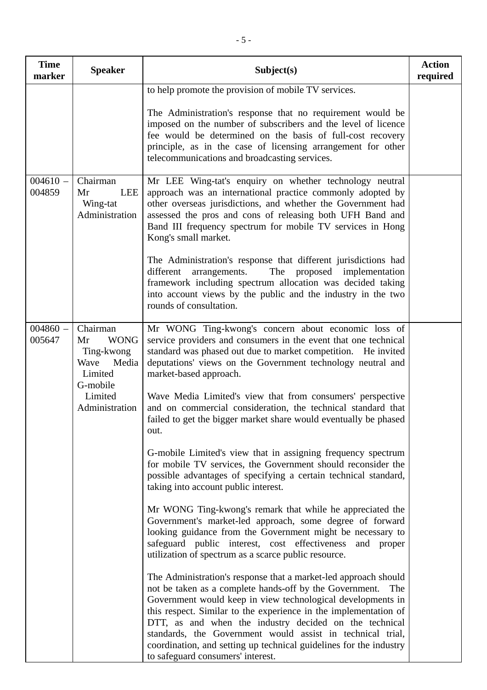| <b>Time</b><br>marker | <b>Speaker</b>                                                                                                   | Subject(s)                                                                                                                                                                                                                                                                                                                                                                                                                                                                                                                                                                                                                                                                                                                                                                                                                                                                                                                                                                                                                                                                                                                                                                                                                                                                                                                                                                                                                                                                                                                                                  | <b>Action</b><br>required |
|-----------------------|------------------------------------------------------------------------------------------------------------------|-------------------------------------------------------------------------------------------------------------------------------------------------------------------------------------------------------------------------------------------------------------------------------------------------------------------------------------------------------------------------------------------------------------------------------------------------------------------------------------------------------------------------------------------------------------------------------------------------------------------------------------------------------------------------------------------------------------------------------------------------------------------------------------------------------------------------------------------------------------------------------------------------------------------------------------------------------------------------------------------------------------------------------------------------------------------------------------------------------------------------------------------------------------------------------------------------------------------------------------------------------------------------------------------------------------------------------------------------------------------------------------------------------------------------------------------------------------------------------------------------------------------------------------------------------------|---------------------------|
|                       |                                                                                                                  | to help promote the provision of mobile TV services.<br>The Administration's response that no requirement would be<br>imposed on the number of subscribers and the level of licence<br>fee would be determined on the basis of full-cost recovery<br>principle, as in the case of licensing arrangement for other<br>telecommunications and broadcasting services.                                                                                                                                                                                                                                                                                                                                                                                                                                                                                                                                                                                                                                                                                                                                                                                                                                                                                                                                                                                                                                                                                                                                                                                          |                           |
| $004610 -$<br>004859  | Chairman<br><b>LEE</b><br>Mr<br>Wing-tat<br>Administration                                                       | Mr LEE Wing-tat's enquiry on whether technology neutral<br>approach was an international practice commonly adopted by<br>other overseas jurisdictions, and whether the Government had<br>assessed the pros and cons of releasing both UFH Band and<br>Band III frequency spectrum for mobile TV services in Hong<br>Kong's small market.<br>The Administration's response that different jurisdictions had<br>The<br>proposed implementation<br>different<br>arrangements.<br>framework including spectrum allocation was decided taking<br>into account views by the public and the industry in the two<br>rounds of consultation.                                                                                                                                                                                                                                                                                                                                                                                                                                                                                                                                                                                                                                                                                                                                                                                                                                                                                                                         |                           |
| $004860 -$<br>005647  | Chairman<br><b>WONG</b><br>Mr<br>Ting-kwong<br>Wave<br>Media<br>Limited<br>G-mobile<br>Limited<br>Administration | Mr WONG Ting-kwong's concern about economic loss of<br>service providers and consumers in the event that one technical<br>standard was phased out due to market competition. He invited<br>deputations' views on the Government technology neutral and<br>market-based approach.<br>Wave Media Limited's view that from consumers' perspective<br>and on commercial consideration, the technical standard that<br>failed to get the bigger market share would eventually be phased<br>out.<br>G-mobile Limited's view that in assigning frequency spectrum<br>for mobile TV services, the Government should reconsider the<br>possible advantages of specifying a certain technical standard,<br>taking into account public interest.<br>Mr WONG Ting-kwong's remark that while he appreciated the<br>Government's market-led approach, some degree of forward<br>looking guidance from the Government might be necessary to<br>safeguard public interest, cost effectiveness and proper<br>utilization of spectrum as a scarce public resource.<br>The Administration's response that a market-led approach should<br>not be taken as a complete hands-off by the Government.<br>The<br>Government would keep in view technological developments in<br>this respect. Similar to the experience in the implementation of<br>DTT, as and when the industry decided on the technical<br>standards, the Government would assist in technical trial,<br>coordination, and setting up technical guidelines for the industry<br>to safeguard consumers' interest. |                           |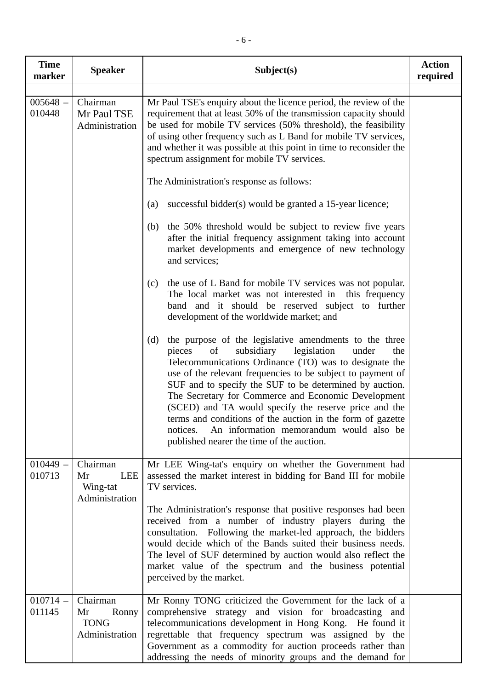| <b>Time</b><br>marker | <b>Speaker</b>                                             | Subject(s)                                                                                                                                                                                                                                                                                                                                                                                                                                                                                                                                                                                       | <b>Action</b><br>required |
|-----------------------|------------------------------------------------------------|--------------------------------------------------------------------------------------------------------------------------------------------------------------------------------------------------------------------------------------------------------------------------------------------------------------------------------------------------------------------------------------------------------------------------------------------------------------------------------------------------------------------------------------------------------------------------------------------------|---------------------------|
| $005648 -$<br>010448  | Chairman<br>Mr Paul TSE<br>Administration                  | Mr Paul TSE's enquiry about the licence period, the review of the<br>requirement that at least 50% of the transmission capacity should<br>be used for mobile TV services (50% threshold), the feasibility<br>of using other frequency such as L Band for mobile TV services,<br>and whether it was possible at this point in time to reconsider the<br>spectrum assignment for mobile TV services.                                                                                                                                                                                               |                           |
|                       |                                                            | The Administration's response as follows:                                                                                                                                                                                                                                                                                                                                                                                                                                                                                                                                                        |                           |
|                       |                                                            | successful bidder(s) would be granted a 15-year licence;<br>(a)                                                                                                                                                                                                                                                                                                                                                                                                                                                                                                                                  |                           |
|                       |                                                            | the 50% threshold would be subject to review five years<br>(b)<br>after the initial frequency assignment taking into account<br>market developments and emergence of new technology<br>and services;                                                                                                                                                                                                                                                                                                                                                                                             |                           |
|                       |                                                            | the use of L Band for mobile TV services was not popular.<br>(c)<br>The local market was not interested in this frequency<br>band and it should be reserved subject to further<br>development of the worldwide market; and                                                                                                                                                                                                                                                                                                                                                                       |                           |
|                       |                                                            | the purpose of the legislative amendments to the three<br>(d)<br>subsidiary<br>legislation<br>pieces<br>of<br>under<br>the<br>Telecommunications Ordinance (TO) was to designate the<br>use of the relevant frequencies to be subject to payment of<br>SUF and to specify the SUF to be determined by auction.<br>The Secretary for Commerce and Economic Development<br>(SCED) and TA would specify the reserve price and the<br>terms and conditions of the auction in the form of gazette<br>An information memorandum would also be<br>notices.<br>published nearer the time of the auction. |                           |
| $010449 -$<br>010713  | Chairman<br><b>LEE</b><br>Mr<br>Wing-tat<br>Administration | Mr LEE Wing-tat's enquiry on whether the Government had<br>assessed the market interest in bidding for Band III for mobile<br>TV services.                                                                                                                                                                                                                                                                                                                                                                                                                                                       |                           |
|                       |                                                            | The Administration's response that positive responses had been<br>received from a number of industry players during the<br>consultation. Following the market-led approach, the bidders<br>would decide which of the Bands suited their business needs.<br>The level of SUF determined by auction would also reflect the<br>market value of the spectrum and the business potential<br>perceived by the market.                                                                                                                                                                                  |                           |
| $010714 -$<br>011145  | Chairman<br>Mr<br>Ronny<br><b>TONG</b><br>Administration   | Mr Ronny TONG criticized the Government for the lack of a<br>comprehensive strategy and vision for broadcasting and<br>telecommunications development in Hong Kong. He found it<br>regrettable that frequency spectrum was assigned by the<br>Government as a commodity for auction proceeds rather than<br>addressing the needs of minority groups and the demand for                                                                                                                                                                                                                           |                           |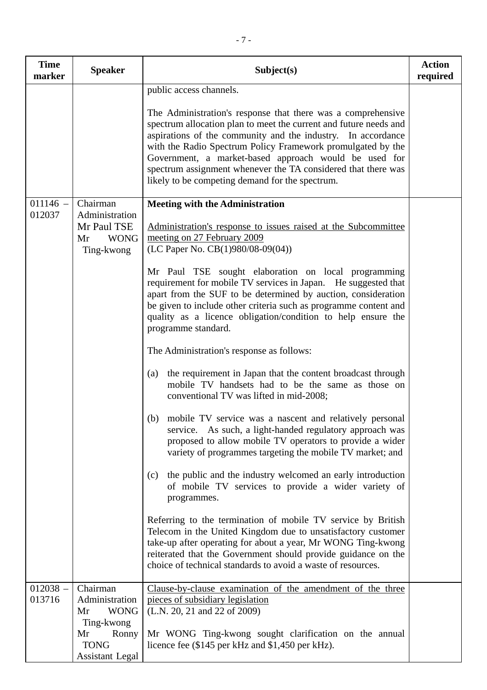| <b>Time</b><br>marker | <b>Speaker</b>                                                   | Subject(s)                                                                                                                                                                                                                                                                                                                                                                                                                                    | <b>Action</b><br>required |
|-----------------------|------------------------------------------------------------------|-----------------------------------------------------------------------------------------------------------------------------------------------------------------------------------------------------------------------------------------------------------------------------------------------------------------------------------------------------------------------------------------------------------------------------------------------|---------------------------|
|                       |                                                                  | public access channels.                                                                                                                                                                                                                                                                                                                                                                                                                       |                           |
|                       |                                                                  | The Administration's response that there was a comprehensive<br>spectrum allocation plan to meet the current and future needs and<br>aspirations of the community and the industry. In accordance<br>with the Radio Spectrum Policy Framework promulgated by the<br>Government, a market-based approach would be used for<br>spectrum assignment whenever the TA considered that there was<br>likely to be competing demand for the spectrum. |                           |
| $011146 -$            | Chairman                                                         | <b>Meeting with the Administration</b>                                                                                                                                                                                                                                                                                                                                                                                                        |                           |
| 012037                | Administration<br>Mr Paul TSE<br><b>WONG</b><br>Mr<br>Ting-kwong | Administration's response to issues raised at the Subcommittee<br>meeting on 27 February 2009<br>(LC Paper No. CB(1)980/08-09(04))                                                                                                                                                                                                                                                                                                            |                           |
|                       |                                                                  | Mr Paul TSE sought elaboration on local programming<br>requirement for mobile TV services in Japan. He suggested that<br>apart from the SUF to be determined by auction, consideration<br>be given to include other criteria such as programme content and<br>quality as a licence obligation/condition to help ensure the<br>programme standard.                                                                                             |                           |
|                       |                                                                  | The Administration's response as follows:                                                                                                                                                                                                                                                                                                                                                                                                     |                           |
|                       |                                                                  | the requirement in Japan that the content broadcast through<br>(a)<br>mobile TV handsets had to be the same as those on<br>conventional TV was lifted in mid-2008;                                                                                                                                                                                                                                                                            |                           |
|                       |                                                                  | mobile TV service was a nascent and relatively personal<br>(b)<br>service. As such, a light-handed regulatory approach was<br>proposed to allow mobile TV operators to provide a wider<br>variety of programmes targeting the mobile TV market; and                                                                                                                                                                                           |                           |
|                       |                                                                  | the public and the industry welcomed an early introduction<br>(c)<br>of mobile TV services to provide a wider variety of<br>programmes.                                                                                                                                                                                                                                                                                                       |                           |
|                       |                                                                  | Referring to the termination of mobile TV service by British<br>Telecom in the United Kingdom due to unsatisfactory customer<br>take-up after operating for about a year, Mr WONG Ting-kwong<br>reiterated that the Government should provide guidance on the<br>choice of technical standards to avoid a waste of resources.                                                                                                                 |                           |
| $012038 -$<br>013716  | Chairman<br>Administration<br><b>WONG</b><br>Mr<br>Ting-kwong    | Clause-by-clause examination of the amendment of the three<br>pieces of subsidiary legislation<br>(L.N. 20, 21 and 22 of 2009)                                                                                                                                                                                                                                                                                                                |                           |
|                       | Mr<br>Ronny<br><b>TONG</b><br><b>Assistant Legal</b>             | Mr WONG Ting-kwong sought clarification on the annual<br>licence fee (\$145 per kHz and \$1,450 per kHz).                                                                                                                                                                                                                                                                                                                                     |                           |